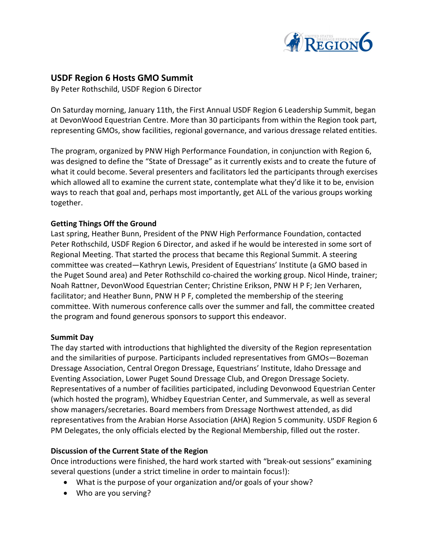

# USDF Region 6 Hosts GMO Summit

By Peter Rothschild, USDF Region 6 Director

On Saturday morning, January 11th, the First Annual USDF Region 6 Leadership Summit, began at DevonWood Equestrian Centre. More than 30 participants from within the Region took part, representing GMOs, show facilities, regional governance, and various dressage related entities.

The program, organized by PNW High Performance Foundation, in conjunction with Region 6, was designed to define the "State of Dressage" as it currently exists and to create the future of what it could become. Several presenters and facilitators led the participants through exercises which allowed all to examine the current state, contemplate what they'd like it to be, envision ways to reach that goal and, perhaps most importantly, get ALL of the various groups working together.

### Getting Things Off the Ground

Last spring, Heather Bunn, President of the PNW High Performance Foundation, contacted Peter Rothschild, USDF Region 6 Director, and asked if he would be interested in some sort of Regional Meeting. That started the process that became this Regional Summit. A steering committee was created—Kathryn Lewis, President of Equestrians' Institute (a GMO based in the Puget Sound area) and Peter Rothschild co-chaired the working group. Nicol Hinde, trainer; Noah Rattner, DevonWood Equestrian Center; Christine Erikson, PNW H P F; Jen Verharen, facilitator; and Heather Bunn, PNW H P F, completed the membership of the steering committee. With numerous conference calls over the summer and fall, the committee created the program and found generous sponsors to support this endeavor.

#### Summit Day

The day started with introductions that highlighted the diversity of the Region representation and the similarities of purpose. Participants included representatives from GMOs—Bozeman Dressage Association, Central Oregon Dressage, Equestrians' Institute, Idaho Dressage and Eventing Association, Lower Puget Sound Dressage Club, and Oregon Dressage Society. Representatives of a number of facilities participated, including Devonwood Equestrian Center (which hosted the program), Whidbey Equestrian Center, and Summervale, as well as several show managers/secretaries. Board members from Dressage Northwest attended, as did representatives from the Arabian Horse Association (AHA) Region 5 community. USDF Region 6 PM Delegates, the only officials elected by the Regional Membership, filled out the roster.

#### Discussion of the Current State of the Region

Once introductions were finished, the hard work started with "break-out sessions" examining several questions (under a strict timeline in order to maintain focus!):

- What is the purpose of your organization and/or goals of your show?
- Who are you serving?